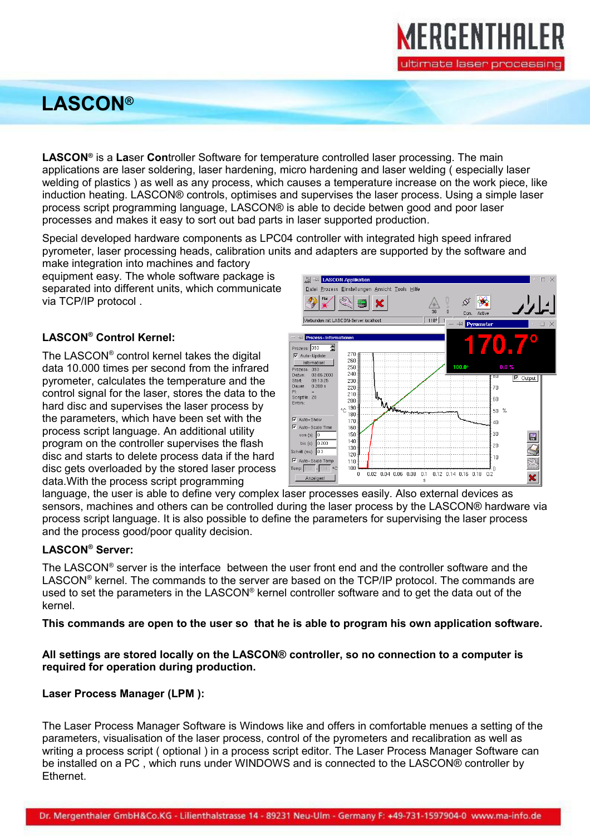## **LASCON®**

**LASCON®** is a **La**ser **Con**troller Software for temperature controlled laser processing. The main applications are laser soldering, laser hardening, micro hardening and laser welding ( especially laser welding of plastics ) as well as any process, which causes a temperature increase on the work piece, like induction heating. LASCON® controls, optimises and supervises the laser process. Using a simple laser process script programming language, LASCON® is able to decide betwen good and poor laser processes and makes it easy to sort out bad parts in laser supported production.

Special developed hardware components as LPC04 controller with integrated high speed infrared pyrometer, laser processing heads, calibration units and adapters are supported by the software and

make integration into machines and factory equipment easy. The whole software package is separated into different units, which communicate via TCP/IP protocol .

## **LASCON® Control Kernel:**

The LASCON® control kernel takes the digital data 10.000 times per second from the infrared pyrometer, calculates the temperature and the control signal for the laser, stores the data to the hard disc and supervises the laser process by the parameters, which have been set with the process script language. An additional utility program on the controller supervises the flash disc and starts to delete process data if the hard disc gets overloaded by the stored laser process data.With the process script programming



MERGENTHALER

ultimate laser processing

language, the user is able to define very complex laser processes easily. Also external devices as sensors, machines and others can be controlled during the laser process by the LASCON® hardware via process script language. It is also possible to define the parameters for supervising the laser process and the process good/poor quality decision.

## **LASCON® Server:**

The LASCON® server is the interface between the user front end and the controller software and the LASCON® kernel. The commands to the server are based on the TCP/IP protocol. The commands are used to set the parameters in the LASCON® kernel controller software and to get the data out of the kernel.

**This commands are open to the user so that he is able to program his own application software.**

## **All settings are stored locally on the LASCON® controller, so no connection to a computer is required for operation during production.**

#### **Laser Process Manager (LPM ):**

The Laser Process Manager Software is Windows like and offers in comfortable menues a setting of the parameters, visualisation of the laser process, control of the pyrometers and recalibration as well as writing a process script ( optional ) in a process script editor. The Laser Process Manager Software can be installed on a PC , which runs under WINDOWS and is connected to the LASCON® controller by Ethernet.